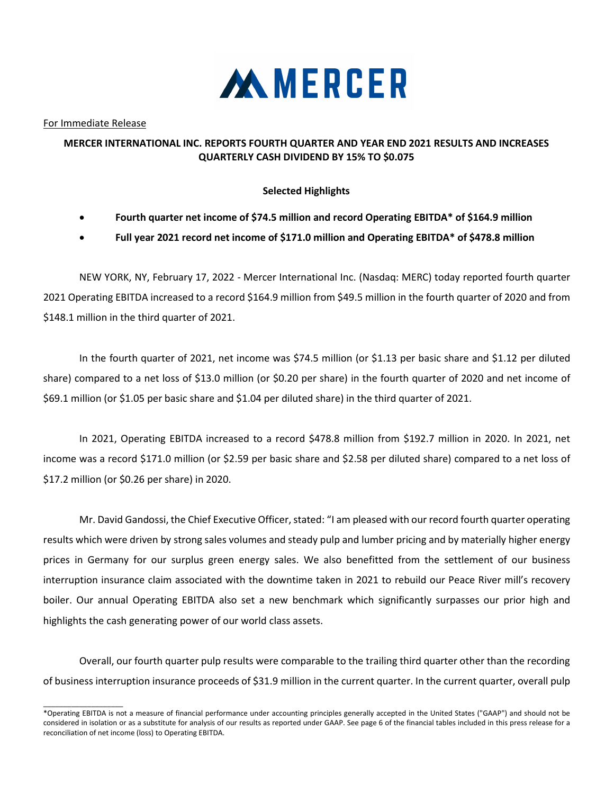

For Immediate Release

 $\_$ 

## **MERCER INTERNATIONAL INC. REPORTS FOURTH QUARTER AND YEAR END 2021 RESULTS AND INCREASES QUARTERLY CASH DIVIDEND BY 15% TO \$0.075**

## **Selected Highlights**

- **Fourth quarter net income of \$74.5 million and record Operating EBITDA\* of \$164.9 million**
- **Full year 2021 record net income of \$171.0 million and Operating EBITDA\* of \$478.8 million**

NEW YORK, NY, February 17, 2022 - Mercer International Inc. (Nasdaq: MERC) today reported fourth quarter 2021 Operating EBITDA increased to a record \$164.9 million from \$49.5 million in the fourth quarter of 2020 and from \$148.1 million in the third quarter of 2021.

In the fourth quarter of 2021, net income was \$74.5 million (or \$1.13 per basic share and \$1.12 per diluted share) compared to a net loss of \$13.0 million (or \$0.20 per share) in the fourth quarter of 2020 and net income of \$69.1 million (or \$1.05 per basic share and \$1.04 per diluted share) in the third quarter of 2021.

In 2021, Operating EBITDA increased to a record \$478.8 million from \$192.7 million in 2020. In 2021, net income was a record \$171.0 million (or \$2.59 per basic share and \$2.58 per diluted share) compared to a net loss of \$17.2 million (or \$0.26 per share) in 2020.

Mr. David Gandossi, the Chief Executive Officer, stated: "I am pleased with our record fourth quarter operating results which were driven by strong sales volumes and steady pulp and lumber pricing and by materially higher energy prices in Germany for our surplus green energy sales. We also benefitted from the settlement of our business interruption insurance claim associated with the downtime taken in 2021 to rebuild our Peace River mill's recovery boiler. Our annual Operating EBITDA also set a new benchmark which significantly surpasses our prior high and highlights the cash generating power of our world class assets.

Overall, our fourth quarter pulp results were comparable to the trailing third quarter other than the recording of business interruption insurance proceeds of \$31.9 million in the current quarter. In the current quarter, overall pulp

<sup>\*</sup>Operating EBITDA is not a measure of financial performance under accounting principles generally accepted in the United States ("GAAP") and should not be considered in isolation or as a substitute for analysis of our results as reported under GAAP. See page 6 of the financial tables included in this press release for a reconciliation of net income (loss) to Operating EBITDA.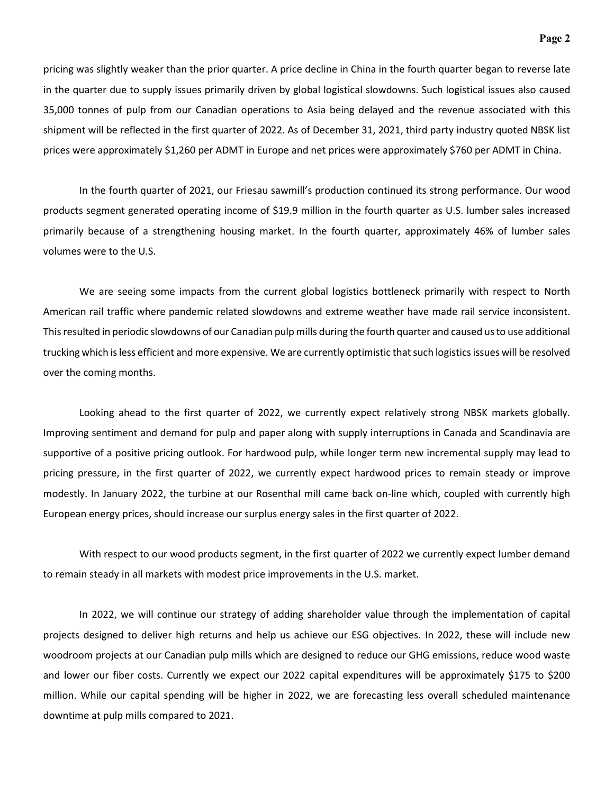pricing was slightly weaker than the prior quarter. A price decline in China in the fourth quarter began to reverse late in the quarter due to supply issues primarily driven by global logistical slowdowns. Such logistical issues also caused 35,000 tonnes of pulp from our Canadian operations to Asia being delayed and the revenue associated with this shipment will be reflected in the first quarter of 2022. As of December 31, 2021, third party industry quoted NBSK list prices were approximately \$1,260 per ADMT in Europe and net prices were approximately \$760 per ADMT in China.

In the fourth quarter of 2021, our Friesau sawmill's production continued its strong performance. Our wood products segment generated operating income of \$19.9 million in the fourth quarter as U.S. lumber sales increased primarily because of a strengthening housing market. In the fourth quarter, approximately 46% of lumber sales volumes were to the U.S.

We are seeing some impacts from the current global logistics bottleneck primarily with respect to North American rail traffic where pandemic related slowdowns and extreme weather have made rail service inconsistent. This resulted in periodic slowdowns of our Canadian pulp mills during the fourth quarter and caused us to use additional trucking which is less efficient and more expensive. We are currently optimistic that such logistics issues will be resolved over the coming months.

Looking ahead to the first quarter of 2022, we currently expect relatively strong NBSK markets globally. Improving sentiment and demand for pulp and paper along with supply interruptions in Canada and Scandinavia are supportive of a positive pricing outlook. For hardwood pulp, while longer term new incremental supply may lead to pricing pressure, in the first quarter of 2022, we currently expect hardwood prices to remain steady or improve modestly. In January 2022, the turbine at our Rosenthal mill came back on-line which, coupled with currently high European energy prices, should increase our surplus energy sales in the first quarter of 2022.

With respect to our wood products segment, in the first quarter of 2022 we currently expect lumber demand to remain steady in all markets with modest price improvements in the U.S. market.

In 2022, we will continue our strategy of adding shareholder value through the implementation of capital projects designed to deliver high returns and help us achieve our ESG objectives. In 2022, these will include new woodroom projects at our Canadian pulp mills which are designed to reduce our GHG emissions, reduce wood waste and lower our fiber costs. Currently we expect our 2022 capital expenditures will be approximately \$175 to \$200 million. While our capital spending will be higher in 2022, we are forecasting less overall scheduled maintenance downtime at pulp mills compared to 2021.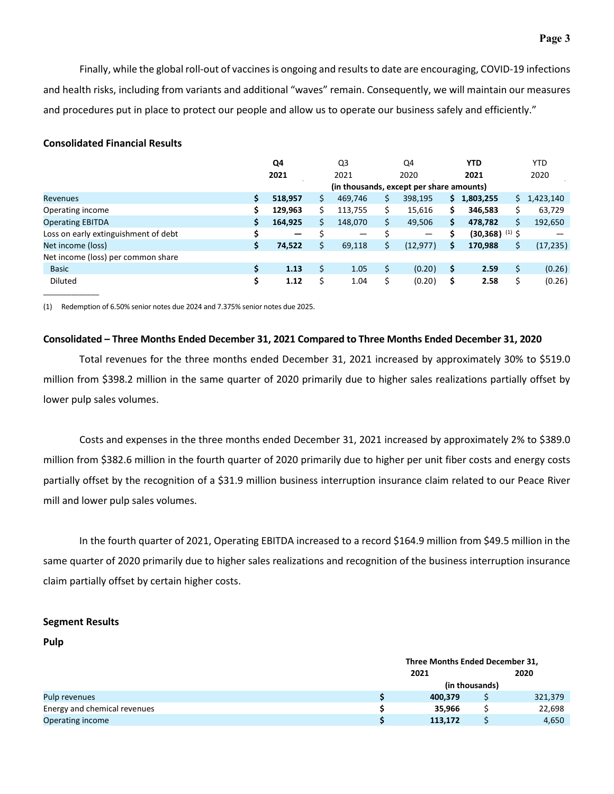Finally, while the global roll-out of vaccines is ongoing and results to date are encouraging, COVID-19 infections and health risks, including from variants and additional "waves" remain. Consequently, we will maintain our measures and procedures put in place to protect our people and allow us to operate our business safely and efficiently."

## **Consolidated Financial Results**

|                                      |    | Q4              |    | Q3      |     | Q4                                       |    | <b>YTD</b>                   |    | <b>YTD</b> |
|--------------------------------------|----|-----------------|----|---------|-----|------------------------------------------|----|------------------------------|----|------------|
|                                      |    | 2021            |    | 2021    |     | 2020                                     |    | 2021                         |    | 2020       |
|                                      |    |                 |    |         |     | (in thousands, except per share amounts) |    |                              |    |            |
| <b>Revenues</b>                      | \$ | 518,957         | S  | 469,746 | \$. | 398,195                                  | Ş. | 1,803,255                    | S  | 1,423,140  |
| Operating income                     | \$ | 129,963         |    | 113,755 |     | 15,616                                   | \$ | 346.583                      | Ś  | 63,729     |
| <b>Operating EBITDA</b>              | \$ | 164,925         |    | 148,070 | \$  | 49,506                                   | \$ | 478,782                      | Ś  | 192,650    |
| Loss on early extinguishment of debt | Ś  | $\qquad \qquad$ |    | —       |     |                                          | \$ | $(30,368)$ <sup>(1)</sup> \$ |    |            |
| Net income (loss)                    | \$ | 74,522          | Ś  | 69,118  | Ś.  | (12, 977)                                | \$ | 170,988                      |    | (17, 235)  |
| Net income (loss) per common share   |    |                 |    |         |     |                                          |    |                              |    |            |
| <b>Basic</b>                         | \$ | 1.13            |    | 1.05    | \$  | (0.20)                                   | \$ | 2.59                         | Ś  | (0.26)     |
| <b>Diluted</b>                       | \$ | 1.12            | \$ | 1.04    | \$  | (0.20)                                   | \$ | 2.58                         | \$ | (0.26)     |

(1) Redemption of 6.50% senior notes due 2024 and 7.375% senior notes due 2025.

### **Consolidated – Three Months Ended December 31, 2021 Compared to Three Months Ended December 31, 2020**

Total revenues for the three months ended December 31, 2021 increased by approximately 30% to \$519.0 million from \$398.2 million in the same quarter of 2020 primarily due to higher sales realizations partially offset by lower pulp sales volumes.

Costs and expenses in the three months ended December 31, 2021 increased by approximately 2% to \$389.0 million from \$382.6 million in the fourth quarter of 2020 primarily due to higher per unit fiber costs and energy costs partially offset by the recognition of a \$31.9 million business interruption insurance claim related to our Peace River mill and lower pulp sales volumes.

In the fourth quarter of 2021, Operating EBITDA increased to a record \$164.9 million from \$49.5 million in the same quarter of 2020 primarily due to higher sales realizations and recognition of the business interruption insurance claim partially offset by certain higher costs.

### **Segment Results**

## **Pulp**

|                              | Three Months Ended December 31, |  |         |  |  |  |  |
|------------------------------|---------------------------------|--|---------|--|--|--|--|
|                              | 2021                            |  | 2020    |  |  |  |  |
|                              | (in thousands)                  |  |         |  |  |  |  |
| Pulp revenues                | 400.379                         |  | 321,379 |  |  |  |  |
| Energy and chemical revenues | 35.966                          |  | 22,698  |  |  |  |  |
| Operating income             | 113.172                         |  | 4,650   |  |  |  |  |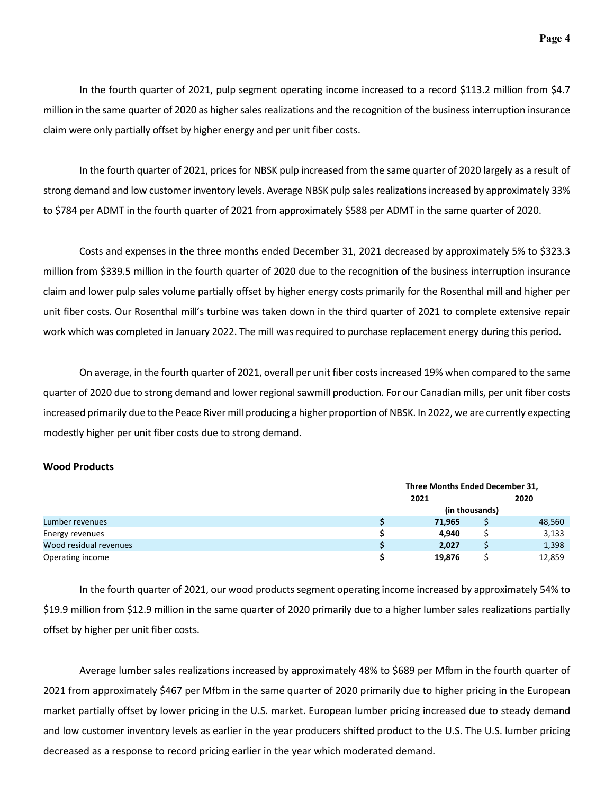In the fourth quarter of 2021, pulp segment operating income increased to a record \$113.2 million from \$4.7 million in the same quarter of 2020 as higher sales realizations and the recognition of the business interruption insurance claim were only partially offset by higher energy and per unit fiber costs.

In the fourth quarter of 2021, prices for NBSK pulp increased from the same quarter of 2020 largely as a result of strong demand and low customer inventory levels. Average NBSK pulp sales realizations increased by approximately 33% to \$784 per ADMT in the fourth quarter of 2021 from approximately \$588 per ADMT in the same quarter of 2020.

Costs and expenses in the three months ended December 31, 2021 decreased by approximately 5% to \$323.3 million from \$339.5 million in the fourth quarter of 2020 due to the recognition of the business interruption insurance claim and lower pulp sales volume partially offset by higher energy costs primarily for the Rosenthal mill and higher per unit fiber costs. Our Rosenthal mill's turbine was taken down in the third quarter of 2021 to complete extensive repair work which was completed in January 2022. The mill was required to purchase replacement energy during this period.

On average, in the fourth quarter of 2021, overall per unit fiber costs increased 19% when compared to the same quarter of 2020 due to strong demand and lower regional sawmill production. For our Canadian mills, per unit fiber costs increased primarily due to the Peace River mill producing a higher proportion of NBSK. In 2022, we are currently expecting modestly higher per unit fiber costs due to strong demand.

### **Wood Products**

|                        | Three Months Ended December 31, |  |        |  |  |  |
|------------------------|---------------------------------|--|--------|--|--|--|
|                        | 2021                            |  | 2020   |  |  |  |
|                        | (in thousands)                  |  |        |  |  |  |
| Lumber revenues        | 71,965                          |  | 48,560 |  |  |  |
| Energy revenues        | 4.940                           |  | 3,133  |  |  |  |
| Wood residual revenues | 2,027                           |  | 1,398  |  |  |  |
| Operating income       | 19,876                          |  | 12,859 |  |  |  |

In the fourth quarter of 2021, our wood products segment operating income increased by approximately 54% to \$19.9 million from \$12.9 million in the same quarter of 2020 primarily due to a higher lumber sales realizations partially offset by higher per unit fiber costs.

Average lumber sales realizations increased by approximately 48% to \$689 per Mfbm in the fourth quarter of 2021 from approximately \$467 per Mfbm in the same quarter of 2020 primarily due to higher pricing in the European market partially offset by lower pricing in the U.S. market. European lumber pricing increased due to steady demand and low customer inventory levels as earlier in the year producers shifted product to the U.S. The U.S. lumber pricing decreased as a response to record pricing earlier in the year which moderated demand.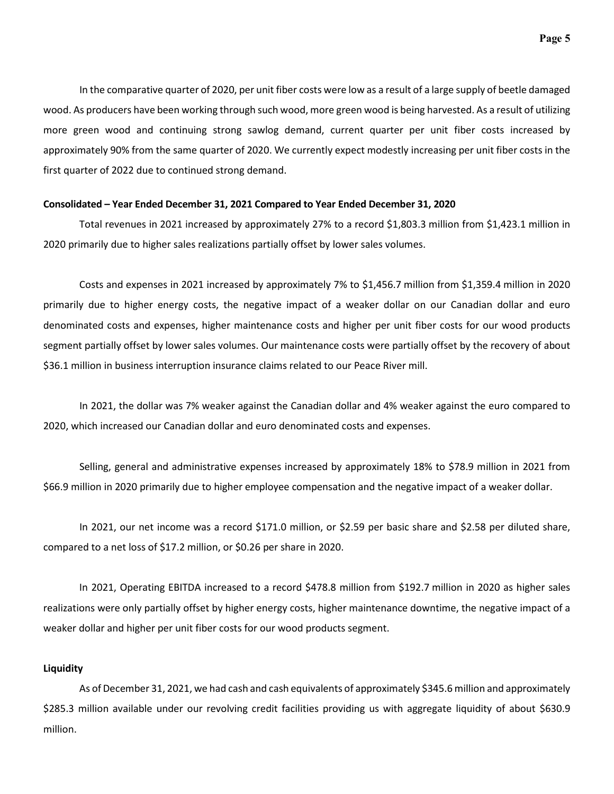In the comparative quarter of 2020, per unit fiber costs were low as a result of a large supply of beetle damaged wood. As producers have been working through such wood, more green wood is being harvested. As a result of utilizing more green wood and continuing strong sawlog demand, current quarter per unit fiber costs increased by approximately 90% from the same quarter of 2020. We currently expect modestly increasing per unit fiber costs in the first quarter of 2022 due to continued strong demand.

### **Consolidated – Year Ended December 31, 2021 Compared to Year Ended December 31, 2020**

Total revenues in 2021 increased by approximately 27% to a record \$1,803.3 million from \$1,423.1 million in 2020 primarily due to higher sales realizations partially offset by lower sales volumes.

Costs and expenses in 2021 increased by approximately 7% to \$1,456.7 million from \$1,359.4 million in 2020 primarily due to higher energy costs, the negative impact of a weaker dollar on our Canadian dollar and euro denominated costs and expenses, higher maintenance costs and higher per unit fiber costs for our wood products segment partially offset by lower sales volumes. Our maintenance costs were partially offset by the recovery of about \$36.1 million in business interruption insurance claims related to our Peace River mill.

In 2021, the dollar was 7% weaker against the Canadian dollar and 4% weaker against the euro compared to 2020, which increased our Canadian dollar and euro denominated costs and expenses.

Selling, general and administrative expenses increased by approximately 18% to \$78.9 million in 2021 from \$66.9 million in 2020 primarily due to higher employee compensation and the negative impact of a weaker dollar.

In 2021, our net income was a record \$171.0 million, or \$2.59 per basic share and \$2.58 per diluted share, compared to a net loss of \$17.2 million, or \$0.26 per share in 2020.

In 2021, Operating EBITDA increased to a record \$478.8 million from \$192.7 million in 2020 as higher sales realizations were only partially offset by higher energy costs, higher maintenance downtime, the negative impact of a weaker dollar and higher per unit fiber costs for our wood products segment.

### **Liquidity**

As of December 31, 2021, we had cash and cash equivalents of approximately \$345.6 million and approximately \$285.3 million available under our revolving credit facilities providing us with aggregate liquidity of about \$630.9 million.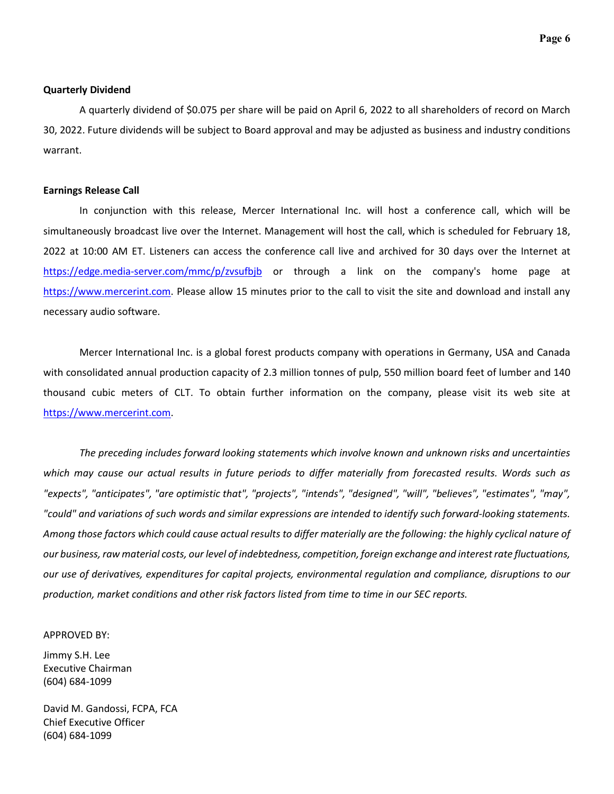### **Quarterly Dividend**

A quarterly dividend of \$0.075 per share will be paid on April 6, 2022 to all shareholders of record on March 30, 2022. Future dividends will be subject to Board approval and may be adjusted as business and industry conditions warrant.

#### **Earnings Release Call**

In conjunction with this release, Mercer International Inc. will host a conference call, which will be simultaneously broadcast live over the Internet. Management will host the call, which is scheduled for February 18, 2022 at 10:00 AM ET. Listeners can access the conference call live and archived for 30 days over the Internet at <https://edge.media-server.com/mmc/p/zvsufbjb>or through a link on the company's home page at [https://www.mercerint.com.](https://www.mercerint.com/) Please allow 15 minutes prior to the call to visit the site and download and install any necessary audio software.

Mercer International Inc. is a global forest products company with operations in Germany, USA and Canada with consolidated annual production capacity of 2.3 million tonnes of pulp, 550 million board feet of lumber and 140 thousand cubic meters of CLT. To obtain further information on the company, please visit its web site at [https://www.mercerint.com.](https://www.mercerint.com/)

*The preceding includes forward looking statements which involve known and unknown risks and uncertainties*  which may cause our actual results in future periods to differ materially from forecasted results. Words such as *"expects", "anticipates", "are optimistic that", "projects", "intends", "designed", "will", "believes", "estimates", "may", "could" and variations of such words and similar expressions are intended to identify such forward-looking statements. Among those factors which could cause actual results to differ materially are the following: the highly cyclical nature of our business, raw material costs, our level of indebtedness, competition, foreign exchange and interest rate fluctuations, our use of derivatives, expenditures for capital projects, environmental regulation and compliance, disruptions to our production, market conditions and other risk factors listed from time to time in our SEC reports.* 

#### APPROVED BY:

Jimmy S.H. Lee Executive Chairman (604) 684-1099

David M. Gandossi, FCPA, FCA Chief Executive Officer (604) 684-1099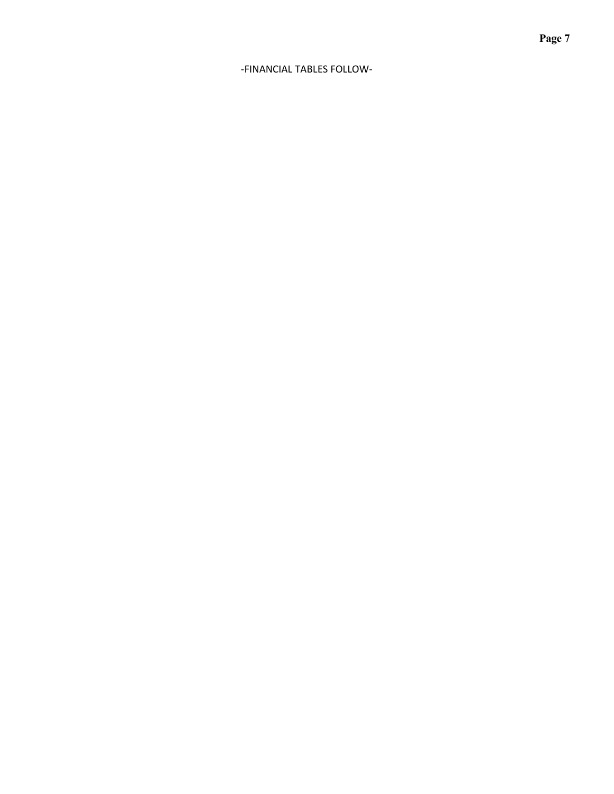## -FINANCIAL TABLES FOLLOW-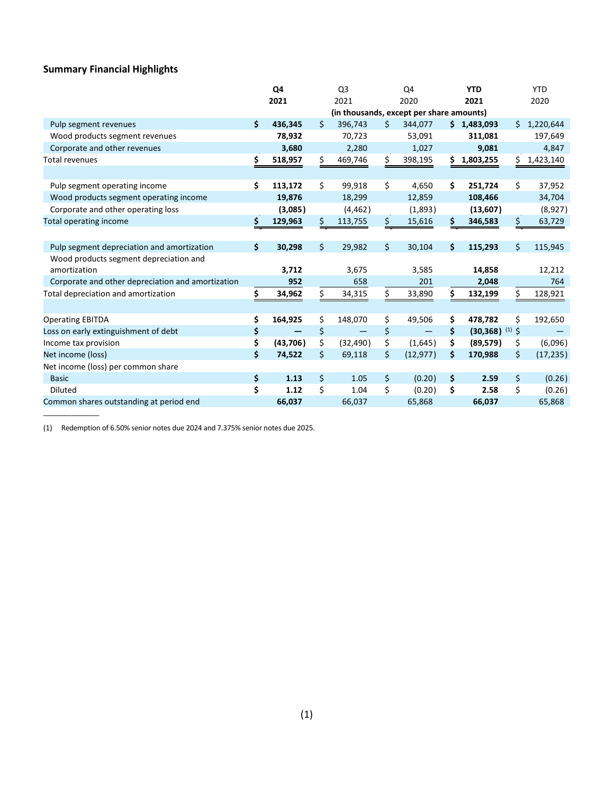# **Summary Financial Highlights**

\_\_\_\_\_\_\_\_\_\_\_\_\_\_

|                                                   |    | Q4        | Q <sub>3</sub> |                                          | Q4 |           | <b>YTD</b> |                              | <b>YTD</b> |           |
|---------------------------------------------------|----|-----------|----------------|------------------------------------------|----|-----------|------------|------------------------------|------------|-----------|
|                                                   |    | 2021      | 2021           |                                          |    | 2020      | 2021       |                              |            | 2020      |
|                                                   |    |           |                | (in thousands, except per share amounts) |    |           |            |                              |            |           |
| Pulp segment revenues                             | Ś. | 436,345   | Ś              | 396,743                                  | \$ | 344,077   |            | \$1,483,093                  | \$         | 1,220,644 |
| Wood products segment revenues                    |    | 78,932    |                | 70,723                                   |    | 53,091    |            | 311,081                      |            | 197,649   |
| Corporate and other revenues                      |    | 3,680     |                | 2,280                                    |    | 1,027     |            | 9,081                        |            | 4,847     |
| Total revenues                                    | \$ | 518,957   | \$             | 469,746                                  | \$ | 398,195   | \$.        | 1,803,255                    | \$         | 1,423,140 |
|                                                   |    |           |                |                                          |    |           |            |                              |            |           |
| Pulp segment operating income                     | \$ | 113,172   | \$             | 99,918                                   | \$ | 4,650     | \$         | 251,724                      | \$         | 37,952    |
| Wood products segment operating income            |    | 19,876    |                | 18,299                                   |    | 12,859    |            | 108,466                      |            | 34,704    |
| Corporate and other operating loss                |    | (3,085)   |                | (4, 462)                                 |    | (1,893)   |            | (13,607)                     |            | (8,927)   |
| <b>Total operating income</b>                     | \$ | 129,963   | \$             | 113,755                                  | \$ | 15,616    | \$         | 346,583                      | \$         | 63,729    |
|                                                   |    |           |                |                                          |    |           |            |                              |            |           |
| Pulp segment depreciation and amortization        | \$ | 30,298    | Ś.             | 29,982                                   | \$ | 30,104    | Ś.         | 115,293                      | Ś.         | 115,945   |
| Wood products segment depreciation and            |    |           |                |                                          |    |           |            |                              |            |           |
| amortization                                      |    | 3,712     |                | 3,675                                    |    | 3,585     |            | 14,858                       |            | 12,212    |
| Corporate and other depreciation and amortization |    | 952       |                | 658                                      |    | 201       |            | 2,048                        |            | 764       |
| Total depreciation and amortization               | \$ | 34,962    | \$             | 34,315                                   | \$ | 33,890    | \$         | 132,199                      | Ś          | 128,921   |
|                                                   |    |           |                |                                          |    |           |            |                              |            |           |
| <b>Operating EBITDA</b>                           | \$ | 164,925   | \$             | 148,070                                  | \$ | 49,506    | \$         | 478,782                      | \$         | 192,650   |
| Loss on early extinguishment of debt              | \$ |           | \$             |                                          | \$ |           | \$         | $(30,368)$ <sup>(1)</sup> \$ |            |           |
| Income tax provision                              | \$ | (43, 706) | \$             | (32, 490)                                | \$ | (1,645)   | \$         | (89, 579)                    | \$         | (6,096)   |
| Net income (loss)                                 | \$ | 74,522    | \$             | 69,118                                   | \$ | (12, 977) | \$         | 170,988                      | \$         | (17, 235) |
| Net income (loss) per common share                |    |           |                |                                          |    |           |            |                              |            |           |
| <b>Basic</b>                                      | \$ | 1.13      | \$             | 1.05                                     | \$ | (0.20)    | \$         | 2.59                         | \$         | (0.26)    |
| <b>Diluted</b>                                    | \$ | 1.12      | \$             | 1.04                                     | \$ | (0.20)    | \$         | 2.58                         | \$         | (0.26)    |
| Common shares outstanding at period end           |    | 66,037    |                | 66,037                                   |    | 65,868    |            | 66,037                       |            | 65,868    |

(1) Redemption of 6.50% senior notes due 2024 and 7.375% senior notes due 2025.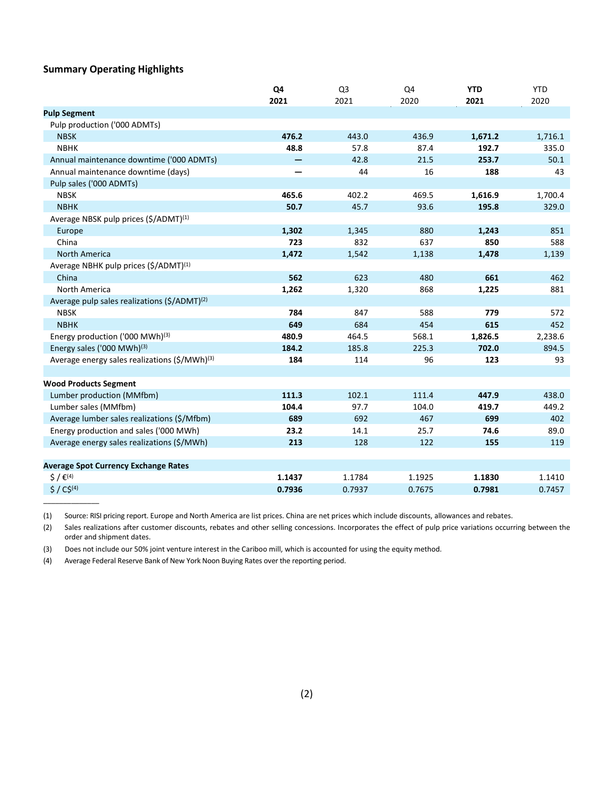## **Summary Operating Highlights**

\_\_\_\_\_\_\_\_\_\_\_\_\_\_

|                                                           | Q4     | Q <sub>3</sub> | Q4     | <b>YTD</b> | <b>YTD</b> |
|-----------------------------------------------------------|--------|----------------|--------|------------|------------|
|                                                           | 2021   | 2021           | 2020   | 2021       | 2020       |
| <b>Pulp Segment</b>                                       |        |                |        |            |            |
| Pulp production ('000 ADMTs)                              |        |                |        |            |            |
| <b>NBSK</b>                                               | 476.2  | 443.0          | 436.9  | 1,671.2    | 1,716.1    |
| <b>NBHK</b>                                               | 48.8   | 57.8           | 87.4   | 192.7      | 335.0      |
| Annual maintenance downtime ('000 ADMTs)                  |        | 42.8           | 21.5   | 253.7      | 50.1       |
| Annual maintenance downtime (days)                        | —      | 44             | 16     | 188        | 43         |
| Pulp sales ('000 ADMTs)                                   |        |                |        |            |            |
| <b>NBSK</b>                                               | 465.6  | 402.2          | 469.5  | 1,616.9    | 1,700.4    |
| <b>NBHK</b>                                               | 50.7   | 45.7           | 93.6   | 195.8      | 329.0      |
| Average NBSK pulp prices (\$/ADMT) <sup>(1)</sup>         |        |                |        |            |            |
| Europe                                                    | 1,302  | 1,345          | 880    | 1,243      | 851        |
| China                                                     | 723    | 832            | 637    | 850        | 588        |
| <b>North America</b>                                      | 1,472  | 1,542          | 1,138  | 1,478      | 1,139      |
| Average NBHK pulp prices (\$/ADMT) <sup>(1)</sup>         |        |                |        |            |            |
| China                                                     | 562    | 623            | 480    | 661        | 462        |
| North America                                             | 1,262  | 1,320          | 868    | 1,225      | 881        |
| Average pulp sales realizations (\$/ADMT) <sup>(2)</sup>  |        |                |        |            |            |
| <b>NBSK</b>                                               | 784    | 847            | 588    | 779        | 572        |
| <b>NBHK</b>                                               | 649    | 684            | 454    | 615        | 452        |
| Energy production ('000 MWh) <sup>(3)</sup>               | 480.9  | 464.5          | 568.1  | 1,826.5    | 2,238.6    |
| Energy sales ('000 MWh) <sup>(3)</sup>                    | 184.2  | 185.8          | 225.3  | 702.0      | 894.5      |
| Average energy sales realizations (\$/MWh) <sup>(3)</sup> | 184    | 114            | 96     | 123        | 93         |
|                                                           |        |                |        |            |            |
| <b>Wood Products Segment</b>                              |        |                |        |            |            |
| Lumber production (MMfbm)                                 | 111.3  | 102.1          | 111.4  | 447.9      | 438.0      |
| Lumber sales (MMfbm)                                      | 104.4  | 97.7           | 104.0  | 419.7      | 449.2      |
| Average lumber sales realizations (\$/Mfbm)               | 689    | 692            | 467    | 699        | 402        |
| Energy production and sales ('000 MWh)                    | 23.2   | 14.1           | 25.7   | 74.6       | 89.0       |
| Average energy sales realizations (\$/MWh)                | 213    | 128            | 122    | 155        | 119        |
|                                                           |        |                |        |            |            |
| <b>Average Spot Currency Exchange Rates</b>               |        |                |        |            |            |
| $5/6^{(4)}$                                               | 1.1437 | 1.1784         | 1.1925 | 1.1830     | 1.1410     |
| $$ / C$^{(4)}$                                            | 0.7936 | 0.7937         | 0.7675 | 0.7981     | 0.7457     |

(1) Source: RISI pricing report. Europe and North America are list prices. China are net prices which include discounts, allowances and rebates.

(2) Sales realizations after customer discounts, rebates and other selling concessions. Incorporates the effect of pulp price variations occurring between the order and shipment dates.

(3) Does not include our 50% joint venture interest in the Cariboo mill, which is accounted for using the equity method.

(4) Average Federal Reserve Bank of New York Noon Buying Rates over the reporting period.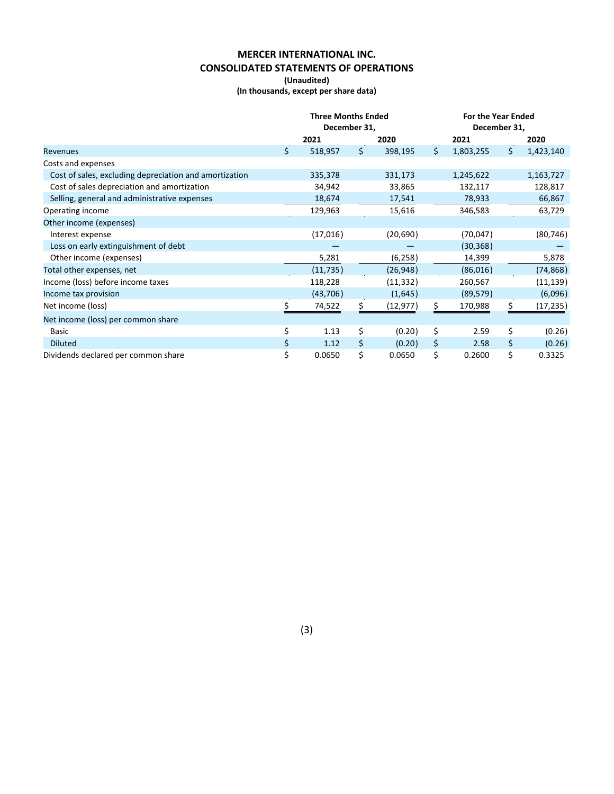# **MERCER INTERNATIONAL INC. CONSOLIDATED STATEMENTS OF OPERATIONS**

**(Unaudited)**

**(In thousands, except per share data)**

|                                                        |     | <b>Three Months Ended</b> |     |           | <b>For the Year Ended</b> |           |    |           |
|--------------------------------------------------------|-----|---------------------------|-----|-----------|---------------------------|-----------|----|-----------|
|                                                        |     | December 31,              |     |           | December 31,              |           |    |           |
|                                                        |     | 2021                      |     | 2020      |                           | 2021      |    | 2020      |
| Revenues                                               | \$. | 518,957                   | \$. | 398,195   | \$                        | 1,803,255 | \$ | 1,423,140 |
| Costs and expenses                                     |     |                           |     |           |                           |           |    |           |
| Cost of sales, excluding depreciation and amortization |     | 335,378                   |     | 331,173   |                           | 1,245,622 |    | 1,163,727 |
| Cost of sales depreciation and amortization            |     | 34,942                    |     | 33,865    |                           | 132,117   |    | 128,817   |
| Selling, general and administrative expenses           |     | 18,674                    |     | 17,541    |                           | 78,933    |    | 66,867    |
| Operating income                                       |     | 129,963                   |     | 15,616    |                           | 346,583   |    | 63,729    |
| Other income (expenses)                                |     |                           |     |           |                           |           |    |           |
| Interest expense                                       |     | (17,016)                  |     | (20,690)  |                           | (70,047)  |    | (80, 746) |
| Loss on early extinguishment of debt                   |     |                           |     |           |                           | (30, 368) |    |           |
| Other income (expenses)                                |     | 5,281                     |     | (6, 258)  |                           | 14,399    |    | 5,878     |
| Total other expenses, net                              |     | (11, 735)                 |     | (26, 948) |                           | (86,016)  |    | (74, 868) |
| Income (loss) before income taxes                      |     | 118,228                   |     | (11, 332) |                           | 260,567   |    | (11, 139) |
| Income tax provision                                   |     | (43, 706)                 |     | (1,645)   |                           | (89, 579) |    | (6,096)   |
| Net income (loss)                                      |     | 74,522                    |     | (12, 977) | S.                        | 170,988   |    | (17,235)  |
| Net income (loss) per common share                     |     |                           |     |           |                           |           |    |           |
| Basic                                                  | \$  | 1.13                      | \$  | (0.20)    | \$                        | 2.59      | \$ | (0.26)    |
| <b>Diluted</b>                                         | \$  | 1.12                      | Ś   | (0.20)    | \$                        | 2.58      | \$ | (0.26)    |
| Dividends declared per common share                    | \$  | 0.0650                    | \$  | 0.0650    | \$                        | 0.2600    | \$ | 0.3325    |

(3)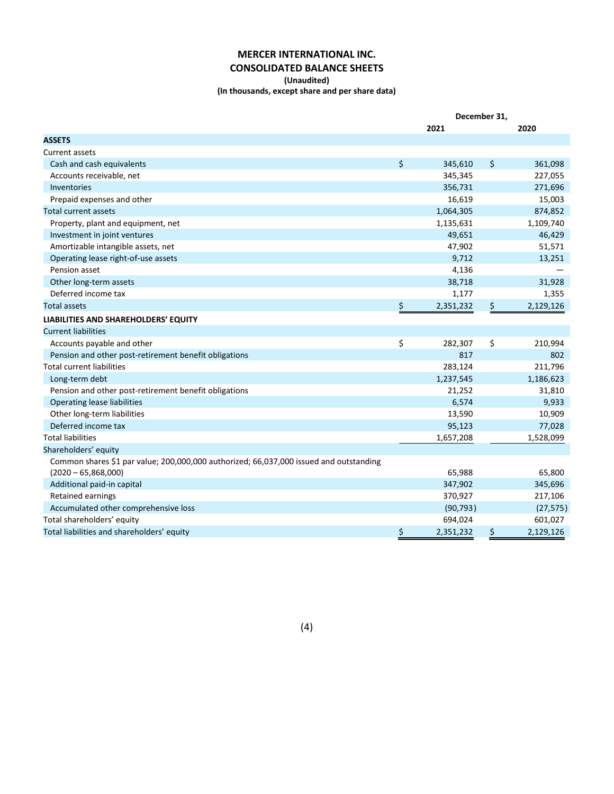## **MERCER INTERNATIONAL INC. CONSOLIDATED BALANCE SHEETS**

#### **(Unaudited)**

**(In thousands, except share and per share data)**

|                                                                                        | December 31, |           |    |           |
|----------------------------------------------------------------------------------------|--------------|-----------|----|-----------|
|                                                                                        |              | 2021      |    | 2020      |
| <b>ASSETS</b>                                                                          |              |           |    |           |
| Current assets                                                                         |              |           |    |           |
| Cash and cash equivalents                                                              | \$           | 345,610   | \$ | 361,098   |
| Accounts receivable, net                                                               |              | 345,345   |    | 227,055   |
| Inventories                                                                            |              | 356,731   |    | 271,696   |
| Prepaid expenses and other                                                             |              | 16,619    |    | 15,003    |
| <b>Total current assets</b>                                                            |              | 1,064,305 |    | 874,852   |
| Property, plant and equipment, net                                                     |              | 1,135,631 |    | 1,109,740 |
| Investment in joint ventures                                                           |              | 49,651    |    | 46,429    |
| Amortizable intangible assets, net                                                     |              | 47,902    |    | 51,571    |
| Operating lease right-of-use assets                                                    |              | 9,712     |    | 13,251    |
| Pension asset                                                                          |              | 4,136     |    |           |
| Other long-term assets                                                                 |              | 38,718    |    | 31,928    |
| Deferred income tax                                                                    |              | 1,177     |    | 1,355     |
| <b>Total assets</b>                                                                    | \$           | 2,351,232 | \$ | 2,129,126 |
| LIABILITIES AND SHAREHOLDERS' EQUITY                                                   |              |           |    |           |
| <b>Current liabilities</b>                                                             |              |           |    |           |
| Accounts payable and other                                                             | \$           | 282,307   | \$ | 210,994   |
| Pension and other post-retirement benefit obligations                                  |              | 817       |    | 802       |
| <b>Total current liabilities</b>                                                       |              | 283,124   |    | 211,796   |
| Long-term debt                                                                         |              | 1,237,545 |    | 1,186,623 |
| Pension and other post-retirement benefit obligations                                  |              | 21,252    |    | 31,810    |
| <b>Operating lease liabilities</b>                                                     |              | 6,574     |    | 9,933     |
| Other long-term liabilities                                                            |              | 13,590    |    | 10,909    |
| Deferred income tax                                                                    |              | 95,123    |    | 77,028    |
| <b>Total liabilities</b>                                                               |              | 1,657,208 |    | 1,528,099 |
| Shareholders' equity                                                                   |              |           |    |           |
| Common shares \$1 par value; 200,000,000 authorized; 66,037,000 issued and outstanding |              |           |    |           |
| $(2020 - 65,868,000)$                                                                  |              | 65,988    |    | 65,800    |
| Additional paid-in capital                                                             |              | 347,902   |    | 345,696   |
| Retained earnings                                                                      |              | 370,927   |    | 217,106   |
| Accumulated other comprehensive loss                                                   |              | (90, 793) |    | (27, 575) |
| Total shareholders' equity                                                             |              | 694,024   |    | 601,027   |
| Total liabilities and shareholders' equity                                             | \$           | 2,351,232 | \$ | 2,129,126 |

(4)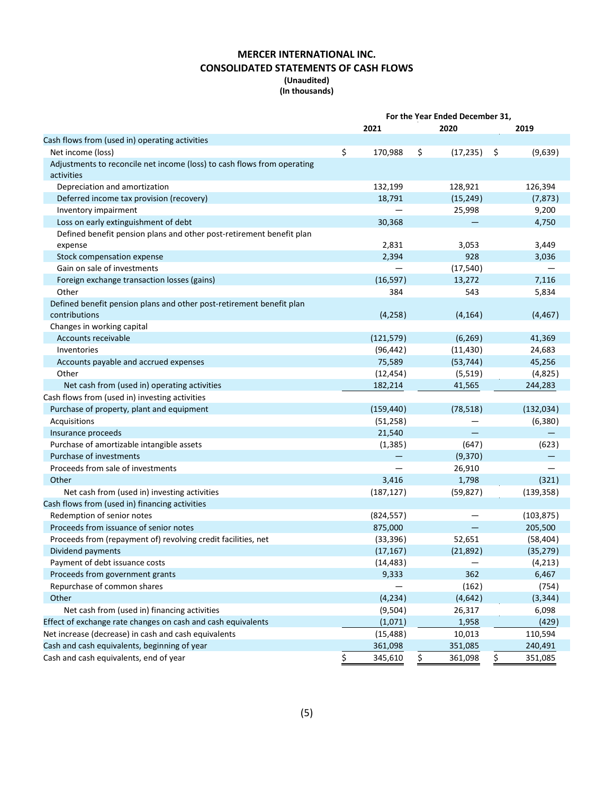## **MERCER INTERNATIONAL INC. CONSOLIDATED STATEMENTS OF CASH FLOWS (Unaudited)**

## **(In thousands)**

| 2021<br>2020<br>2019<br>Cash flows from (used in) operating activities<br>\$<br>170,988<br>\$<br>Net income (loss)<br>(17, 235)<br>\$<br>(9,639)<br>Adjustments to reconcile net income (loss) to cash flows from operating<br>activities<br>Depreciation and amortization<br>132,199<br>128,921<br>126,394<br>18,791<br>(15, 249)<br>(7, 873)<br>Deferred income tax provision (recovery)<br>Inventory impairment<br>25,998<br>9,200<br>Loss on early extinguishment of debt<br>30,368<br>4,750<br>Defined benefit pension plans and other post-retirement benefit plan<br>2,831<br>3,053<br>3,449<br>expense<br>2,394<br>Stock compensation expense<br>928<br>3,036<br>Gain on sale of investments<br>(17, 540)<br>Foreign exchange transaction losses (gains)<br>(16, 597)<br>13,272<br>7,116<br>Other<br>384<br>543<br>5,834<br>Defined benefit pension plans and other post-retirement benefit plan<br>(4, 258)<br>(4, 164)<br>contributions<br>(4, 467)<br>Changes in working capital<br>Accounts receivable<br>(6, 269)<br>(121, 579)<br>41,369<br>Inventories<br>(96, 442)<br>(11, 430)<br>24,683<br>75,589<br>Accounts payable and accrued expenses<br>(53, 744)<br>45,256<br>Other<br>(12, 454)<br>(5, 519)<br>(4,825)<br>Net cash from (used in) operating activities<br>182,214<br>41,565<br>244,283<br>Cash flows from (used in) investing activities<br>Purchase of property, plant and equipment<br>(159, 440)<br>(78, 518)<br>(132, 034)<br>Acquisitions<br>(51, 258)<br>(6,380)<br>21,540<br>Insurance proceeds<br>Purchase of amortizable intangible assets<br>(1, 385)<br>(647)<br>(623)<br>Purchase of investments<br>(9,370)<br>Proceeds from sale of investments<br>26,910<br>Other<br>3,416<br>1,798<br>(321)<br>(187, 127)<br>(59, 827)<br>(139, 358)<br>Net cash from (used in) investing activities<br>Cash flows from (used in) financing activities<br>Redemption of senior notes<br>(824, 557)<br>(103, 875)<br>Proceeds from issuance of senior notes<br>875,000<br>205,500<br>Proceeds from (repayment of) revolving credit facilities, net<br>(33, 396)<br>52,651<br>(58, 404)<br>(17, 167)<br>(21, 892)<br>(35, 279)<br>Dividend payments<br>(14, 483)<br>(4, 213)<br>Payment of debt issuance costs<br>362<br>Proceeds from government grants<br>9,333<br>6,467<br>Repurchase of common shares<br>(162)<br>(754)<br>Other<br>(4, 234)<br>(4,642)<br>(3, 344)<br>Net cash from (used in) financing activities<br>(9,504)<br>6,098<br>26,317<br>Effect of exchange rate changes on cash and cash equivalents<br>(1,071)<br>1,958<br>(429)<br>Net increase (decrease) in cash and cash equivalents<br>110,594<br>(15, 488)<br>10,013<br>Cash and cash equivalents, beginning of year<br>361,098<br>351,085<br>240,491<br>Cash and cash equivalents, end of year<br>\$<br>345,610<br>361,098<br>\$<br>351,085<br>Ş | For the Year Ended December 31, |  |  |
|--------------------------------------------------------------------------------------------------------------------------------------------------------------------------------------------------------------------------------------------------------------------------------------------------------------------------------------------------------------------------------------------------------------------------------------------------------------------------------------------------------------------------------------------------------------------------------------------------------------------------------------------------------------------------------------------------------------------------------------------------------------------------------------------------------------------------------------------------------------------------------------------------------------------------------------------------------------------------------------------------------------------------------------------------------------------------------------------------------------------------------------------------------------------------------------------------------------------------------------------------------------------------------------------------------------------------------------------------------------------------------------------------------------------------------------------------------------------------------------------------------------------------------------------------------------------------------------------------------------------------------------------------------------------------------------------------------------------------------------------------------------------------------------------------------------------------------------------------------------------------------------------------------------------------------------------------------------------------------------------------------------------------------------------------------------------------------------------------------------------------------------------------------------------------------------------------------------------------------------------------------------------------------------------------------------------------------------------------------------------------------------------------------------------------------------------------------------------------------------------------------------------------------------------------------------------------------------------------------------------------------------------------------------------------------------------------------------------------------------------------------------------------------------------------------------------------------------------------|---------------------------------|--|--|
|                                                                                                                                                                                                                                                                                                                                                                                                                                                                                                                                                                                                                                                                                                                                                                                                                                                                                                                                                                                                                                                                                                                                                                                                                                                                                                                                                                                                                                                                                                                                                                                                                                                                                                                                                                                                                                                                                                                                                                                                                                                                                                                                                                                                                                                                                                                                                                                                                                                                                                                                                                                                                                                                                                                                                                                                                                                  |                                 |  |  |
|                                                                                                                                                                                                                                                                                                                                                                                                                                                                                                                                                                                                                                                                                                                                                                                                                                                                                                                                                                                                                                                                                                                                                                                                                                                                                                                                                                                                                                                                                                                                                                                                                                                                                                                                                                                                                                                                                                                                                                                                                                                                                                                                                                                                                                                                                                                                                                                                                                                                                                                                                                                                                                                                                                                                                                                                                                                  |                                 |  |  |
|                                                                                                                                                                                                                                                                                                                                                                                                                                                                                                                                                                                                                                                                                                                                                                                                                                                                                                                                                                                                                                                                                                                                                                                                                                                                                                                                                                                                                                                                                                                                                                                                                                                                                                                                                                                                                                                                                                                                                                                                                                                                                                                                                                                                                                                                                                                                                                                                                                                                                                                                                                                                                                                                                                                                                                                                                                                  |                                 |  |  |
|                                                                                                                                                                                                                                                                                                                                                                                                                                                                                                                                                                                                                                                                                                                                                                                                                                                                                                                                                                                                                                                                                                                                                                                                                                                                                                                                                                                                                                                                                                                                                                                                                                                                                                                                                                                                                                                                                                                                                                                                                                                                                                                                                                                                                                                                                                                                                                                                                                                                                                                                                                                                                                                                                                                                                                                                                                                  |                                 |  |  |
|                                                                                                                                                                                                                                                                                                                                                                                                                                                                                                                                                                                                                                                                                                                                                                                                                                                                                                                                                                                                                                                                                                                                                                                                                                                                                                                                                                                                                                                                                                                                                                                                                                                                                                                                                                                                                                                                                                                                                                                                                                                                                                                                                                                                                                                                                                                                                                                                                                                                                                                                                                                                                                                                                                                                                                                                                                                  |                                 |  |  |
|                                                                                                                                                                                                                                                                                                                                                                                                                                                                                                                                                                                                                                                                                                                                                                                                                                                                                                                                                                                                                                                                                                                                                                                                                                                                                                                                                                                                                                                                                                                                                                                                                                                                                                                                                                                                                                                                                                                                                                                                                                                                                                                                                                                                                                                                                                                                                                                                                                                                                                                                                                                                                                                                                                                                                                                                                                                  |                                 |  |  |
|                                                                                                                                                                                                                                                                                                                                                                                                                                                                                                                                                                                                                                                                                                                                                                                                                                                                                                                                                                                                                                                                                                                                                                                                                                                                                                                                                                                                                                                                                                                                                                                                                                                                                                                                                                                                                                                                                                                                                                                                                                                                                                                                                                                                                                                                                                                                                                                                                                                                                                                                                                                                                                                                                                                                                                                                                                                  |                                 |  |  |
|                                                                                                                                                                                                                                                                                                                                                                                                                                                                                                                                                                                                                                                                                                                                                                                                                                                                                                                                                                                                                                                                                                                                                                                                                                                                                                                                                                                                                                                                                                                                                                                                                                                                                                                                                                                                                                                                                                                                                                                                                                                                                                                                                                                                                                                                                                                                                                                                                                                                                                                                                                                                                                                                                                                                                                                                                                                  |                                 |  |  |
|                                                                                                                                                                                                                                                                                                                                                                                                                                                                                                                                                                                                                                                                                                                                                                                                                                                                                                                                                                                                                                                                                                                                                                                                                                                                                                                                                                                                                                                                                                                                                                                                                                                                                                                                                                                                                                                                                                                                                                                                                                                                                                                                                                                                                                                                                                                                                                                                                                                                                                                                                                                                                                                                                                                                                                                                                                                  |                                 |  |  |
|                                                                                                                                                                                                                                                                                                                                                                                                                                                                                                                                                                                                                                                                                                                                                                                                                                                                                                                                                                                                                                                                                                                                                                                                                                                                                                                                                                                                                                                                                                                                                                                                                                                                                                                                                                                                                                                                                                                                                                                                                                                                                                                                                                                                                                                                                                                                                                                                                                                                                                                                                                                                                                                                                                                                                                                                                                                  |                                 |  |  |
|                                                                                                                                                                                                                                                                                                                                                                                                                                                                                                                                                                                                                                                                                                                                                                                                                                                                                                                                                                                                                                                                                                                                                                                                                                                                                                                                                                                                                                                                                                                                                                                                                                                                                                                                                                                                                                                                                                                                                                                                                                                                                                                                                                                                                                                                                                                                                                                                                                                                                                                                                                                                                                                                                                                                                                                                                                                  |                                 |  |  |
|                                                                                                                                                                                                                                                                                                                                                                                                                                                                                                                                                                                                                                                                                                                                                                                                                                                                                                                                                                                                                                                                                                                                                                                                                                                                                                                                                                                                                                                                                                                                                                                                                                                                                                                                                                                                                                                                                                                                                                                                                                                                                                                                                                                                                                                                                                                                                                                                                                                                                                                                                                                                                                                                                                                                                                                                                                                  |                                 |  |  |
|                                                                                                                                                                                                                                                                                                                                                                                                                                                                                                                                                                                                                                                                                                                                                                                                                                                                                                                                                                                                                                                                                                                                                                                                                                                                                                                                                                                                                                                                                                                                                                                                                                                                                                                                                                                                                                                                                                                                                                                                                                                                                                                                                                                                                                                                                                                                                                                                                                                                                                                                                                                                                                                                                                                                                                                                                                                  |                                 |  |  |
|                                                                                                                                                                                                                                                                                                                                                                                                                                                                                                                                                                                                                                                                                                                                                                                                                                                                                                                                                                                                                                                                                                                                                                                                                                                                                                                                                                                                                                                                                                                                                                                                                                                                                                                                                                                                                                                                                                                                                                                                                                                                                                                                                                                                                                                                                                                                                                                                                                                                                                                                                                                                                                                                                                                                                                                                                                                  |                                 |  |  |
|                                                                                                                                                                                                                                                                                                                                                                                                                                                                                                                                                                                                                                                                                                                                                                                                                                                                                                                                                                                                                                                                                                                                                                                                                                                                                                                                                                                                                                                                                                                                                                                                                                                                                                                                                                                                                                                                                                                                                                                                                                                                                                                                                                                                                                                                                                                                                                                                                                                                                                                                                                                                                                                                                                                                                                                                                                                  |                                 |  |  |
|                                                                                                                                                                                                                                                                                                                                                                                                                                                                                                                                                                                                                                                                                                                                                                                                                                                                                                                                                                                                                                                                                                                                                                                                                                                                                                                                                                                                                                                                                                                                                                                                                                                                                                                                                                                                                                                                                                                                                                                                                                                                                                                                                                                                                                                                                                                                                                                                                                                                                                                                                                                                                                                                                                                                                                                                                                                  |                                 |  |  |
|                                                                                                                                                                                                                                                                                                                                                                                                                                                                                                                                                                                                                                                                                                                                                                                                                                                                                                                                                                                                                                                                                                                                                                                                                                                                                                                                                                                                                                                                                                                                                                                                                                                                                                                                                                                                                                                                                                                                                                                                                                                                                                                                                                                                                                                                                                                                                                                                                                                                                                                                                                                                                                                                                                                                                                                                                                                  |                                 |  |  |
|                                                                                                                                                                                                                                                                                                                                                                                                                                                                                                                                                                                                                                                                                                                                                                                                                                                                                                                                                                                                                                                                                                                                                                                                                                                                                                                                                                                                                                                                                                                                                                                                                                                                                                                                                                                                                                                                                                                                                                                                                                                                                                                                                                                                                                                                                                                                                                                                                                                                                                                                                                                                                                                                                                                                                                                                                                                  |                                 |  |  |
|                                                                                                                                                                                                                                                                                                                                                                                                                                                                                                                                                                                                                                                                                                                                                                                                                                                                                                                                                                                                                                                                                                                                                                                                                                                                                                                                                                                                                                                                                                                                                                                                                                                                                                                                                                                                                                                                                                                                                                                                                                                                                                                                                                                                                                                                                                                                                                                                                                                                                                                                                                                                                                                                                                                                                                                                                                                  |                                 |  |  |
|                                                                                                                                                                                                                                                                                                                                                                                                                                                                                                                                                                                                                                                                                                                                                                                                                                                                                                                                                                                                                                                                                                                                                                                                                                                                                                                                                                                                                                                                                                                                                                                                                                                                                                                                                                                                                                                                                                                                                                                                                                                                                                                                                                                                                                                                                                                                                                                                                                                                                                                                                                                                                                                                                                                                                                                                                                                  |                                 |  |  |
|                                                                                                                                                                                                                                                                                                                                                                                                                                                                                                                                                                                                                                                                                                                                                                                                                                                                                                                                                                                                                                                                                                                                                                                                                                                                                                                                                                                                                                                                                                                                                                                                                                                                                                                                                                                                                                                                                                                                                                                                                                                                                                                                                                                                                                                                                                                                                                                                                                                                                                                                                                                                                                                                                                                                                                                                                                                  |                                 |  |  |
|                                                                                                                                                                                                                                                                                                                                                                                                                                                                                                                                                                                                                                                                                                                                                                                                                                                                                                                                                                                                                                                                                                                                                                                                                                                                                                                                                                                                                                                                                                                                                                                                                                                                                                                                                                                                                                                                                                                                                                                                                                                                                                                                                                                                                                                                                                                                                                                                                                                                                                                                                                                                                                                                                                                                                                                                                                                  |                                 |  |  |
|                                                                                                                                                                                                                                                                                                                                                                                                                                                                                                                                                                                                                                                                                                                                                                                                                                                                                                                                                                                                                                                                                                                                                                                                                                                                                                                                                                                                                                                                                                                                                                                                                                                                                                                                                                                                                                                                                                                                                                                                                                                                                                                                                                                                                                                                                                                                                                                                                                                                                                                                                                                                                                                                                                                                                                                                                                                  |                                 |  |  |
|                                                                                                                                                                                                                                                                                                                                                                                                                                                                                                                                                                                                                                                                                                                                                                                                                                                                                                                                                                                                                                                                                                                                                                                                                                                                                                                                                                                                                                                                                                                                                                                                                                                                                                                                                                                                                                                                                                                                                                                                                                                                                                                                                                                                                                                                                                                                                                                                                                                                                                                                                                                                                                                                                                                                                                                                                                                  |                                 |  |  |
|                                                                                                                                                                                                                                                                                                                                                                                                                                                                                                                                                                                                                                                                                                                                                                                                                                                                                                                                                                                                                                                                                                                                                                                                                                                                                                                                                                                                                                                                                                                                                                                                                                                                                                                                                                                                                                                                                                                                                                                                                                                                                                                                                                                                                                                                                                                                                                                                                                                                                                                                                                                                                                                                                                                                                                                                                                                  |                                 |  |  |
|                                                                                                                                                                                                                                                                                                                                                                                                                                                                                                                                                                                                                                                                                                                                                                                                                                                                                                                                                                                                                                                                                                                                                                                                                                                                                                                                                                                                                                                                                                                                                                                                                                                                                                                                                                                                                                                                                                                                                                                                                                                                                                                                                                                                                                                                                                                                                                                                                                                                                                                                                                                                                                                                                                                                                                                                                                                  |                                 |  |  |
|                                                                                                                                                                                                                                                                                                                                                                                                                                                                                                                                                                                                                                                                                                                                                                                                                                                                                                                                                                                                                                                                                                                                                                                                                                                                                                                                                                                                                                                                                                                                                                                                                                                                                                                                                                                                                                                                                                                                                                                                                                                                                                                                                                                                                                                                                                                                                                                                                                                                                                                                                                                                                                                                                                                                                                                                                                                  |                                 |  |  |
|                                                                                                                                                                                                                                                                                                                                                                                                                                                                                                                                                                                                                                                                                                                                                                                                                                                                                                                                                                                                                                                                                                                                                                                                                                                                                                                                                                                                                                                                                                                                                                                                                                                                                                                                                                                                                                                                                                                                                                                                                                                                                                                                                                                                                                                                                                                                                                                                                                                                                                                                                                                                                                                                                                                                                                                                                                                  |                                 |  |  |
|                                                                                                                                                                                                                                                                                                                                                                                                                                                                                                                                                                                                                                                                                                                                                                                                                                                                                                                                                                                                                                                                                                                                                                                                                                                                                                                                                                                                                                                                                                                                                                                                                                                                                                                                                                                                                                                                                                                                                                                                                                                                                                                                                                                                                                                                                                                                                                                                                                                                                                                                                                                                                                                                                                                                                                                                                                                  |                                 |  |  |
|                                                                                                                                                                                                                                                                                                                                                                                                                                                                                                                                                                                                                                                                                                                                                                                                                                                                                                                                                                                                                                                                                                                                                                                                                                                                                                                                                                                                                                                                                                                                                                                                                                                                                                                                                                                                                                                                                                                                                                                                                                                                                                                                                                                                                                                                                                                                                                                                                                                                                                                                                                                                                                                                                                                                                                                                                                                  |                                 |  |  |
|                                                                                                                                                                                                                                                                                                                                                                                                                                                                                                                                                                                                                                                                                                                                                                                                                                                                                                                                                                                                                                                                                                                                                                                                                                                                                                                                                                                                                                                                                                                                                                                                                                                                                                                                                                                                                                                                                                                                                                                                                                                                                                                                                                                                                                                                                                                                                                                                                                                                                                                                                                                                                                                                                                                                                                                                                                                  |                                 |  |  |
|                                                                                                                                                                                                                                                                                                                                                                                                                                                                                                                                                                                                                                                                                                                                                                                                                                                                                                                                                                                                                                                                                                                                                                                                                                                                                                                                                                                                                                                                                                                                                                                                                                                                                                                                                                                                                                                                                                                                                                                                                                                                                                                                                                                                                                                                                                                                                                                                                                                                                                                                                                                                                                                                                                                                                                                                                                                  |                                 |  |  |
|                                                                                                                                                                                                                                                                                                                                                                                                                                                                                                                                                                                                                                                                                                                                                                                                                                                                                                                                                                                                                                                                                                                                                                                                                                                                                                                                                                                                                                                                                                                                                                                                                                                                                                                                                                                                                                                                                                                                                                                                                                                                                                                                                                                                                                                                                                                                                                                                                                                                                                                                                                                                                                                                                                                                                                                                                                                  |                                 |  |  |
|                                                                                                                                                                                                                                                                                                                                                                                                                                                                                                                                                                                                                                                                                                                                                                                                                                                                                                                                                                                                                                                                                                                                                                                                                                                                                                                                                                                                                                                                                                                                                                                                                                                                                                                                                                                                                                                                                                                                                                                                                                                                                                                                                                                                                                                                                                                                                                                                                                                                                                                                                                                                                                                                                                                                                                                                                                                  |                                 |  |  |
|                                                                                                                                                                                                                                                                                                                                                                                                                                                                                                                                                                                                                                                                                                                                                                                                                                                                                                                                                                                                                                                                                                                                                                                                                                                                                                                                                                                                                                                                                                                                                                                                                                                                                                                                                                                                                                                                                                                                                                                                                                                                                                                                                                                                                                                                                                                                                                                                                                                                                                                                                                                                                                                                                                                                                                                                                                                  |                                 |  |  |
|                                                                                                                                                                                                                                                                                                                                                                                                                                                                                                                                                                                                                                                                                                                                                                                                                                                                                                                                                                                                                                                                                                                                                                                                                                                                                                                                                                                                                                                                                                                                                                                                                                                                                                                                                                                                                                                                                                                                                                                                                                                                                                                                                                                                                                                                                                                                                                                                                                                                                                                                                                                                                                                                                                                                                                                                                                                  |                                 |  |  |
|                                                                                                                                                                                                                                                                                                                                                                                                                                                                                                                                                                                                                                                                                                                                                                                                                                                                                                                                                                                                                                                                                                                                                                                                                                                                                                                                                                                                                                                                                                                                                                                                                                                                                                                                                                                                                                                                                                                                                                                                                                                                                                                                                                                                                                                                                                                                                                                                                                                                                                                                                                                                                                                                                                                                                                                                                                                  |                                 |  |  |
|                                                                                                                                                                                                                                                                                                                                                                                                                                                                                                                                                                                                                                                                                                                                                                                                                                                                                                                                                                                                                                                                                                                                                                                                                                                                                                                                                                                                                                                                                                                                                                                                                                                                                                                                                                                                                                                                                                                                                                                                                                                                                                                                                                                                                                                                                                                                                                                                                                                                                                                                                                                                                                                                                                                                                                                                                                                  |                                 |  |  |
|                                                                                                                                                                                                                                                                                                                                                                                                                                                                                                                                                                                                                                                                                                                                                                                                                                                                                                                                                                                                                                                                                                                                                                                                                                                                                                                                                                                                                                                                                                                                                                                                                                                                                                                                                                                                                                                                                                                                                                                                                                                                                                                                                                                                                                                                                                                                                                                                                                                                                                                                                                                                                                                                                                                                                                                                                                                  |                                 |  |  |
|                                                                                                                                                                                                                                                                                                                                                                                                                                                                                                                                                                                                                                                                                                                                                                                                                                                                                                                                                                                                                                                                                                                                                                                                                                                                                                                                                                                                                                                                                                                                                                                                                                                                                                                                                                                                                                                                                                                                                                                                                                                                                                                                                                                                                                                                                                                                                                                                                                                                                                                                                                                                                                                                                                                                                                                                                                                  |                                 |  |  |
|                                                                                                                                                                                                                                                                                                                                                                                                                                                                                                                                                                                                                                                                                                                                                                                                                                                                                                                                                                                                                                                                                                                                                                                                                                                                                                                                                                                                                                                                                                                                                                                                                                                                                                                                                                                                                                                                                                                                                                                                                                                                                                                                                                                                                                                                                                                                                                                                                                                                                                                                                                                                                                                                                                                                                                                                                                                  |                                 |  |  |
|                                                                                                                                                                                                                                                                                                                                                                                                                                                                                                                                                                                                                                                                                                                                                                                                                                                                                                                                                                                                                                                                                                                                                                                                                                                                                                                                                                                                                                                                                                                                                                                                                                                                                                                                                                                                                                                                                                                                                                                                                                                                                                                                                                                                                                                                                                                                                                                                                                                                                                                                                                                                                                                                                                                                                                                                                                                  |                                 |  |  |
|                                                                                                                                                                                                                                                                                                                                                                                                                                                                                                                                                                                                                                                                                                                                                                                                                                                                                                                                                                                                                                                                                                                                                                                                                                                                                                                                                                                                                                                                                                                                                                                                                                                                                                                                                                                                                                                                                                                                                                                                                                                                                                                                                                                                                                                                                                                                                                                                                                                                                                                                                                                                                                                                                                                                                                                                                                                  |                                 |  |  |
|                                                                                                                                                                                                                                                                                                                                                                                                                                                                                                                                                                                                                                                                                                                                                                                                                                                                                                                                                                                                                                                                                                                                                                                                                                                                                                                                                                                                                                                                                                                                                                                                                                                                                                                                                                                                                                                                                                                                                                                                                                                                                                                                                                                                                                                                                                                                                                                                                                                                                                                                                                                                                                                                                                                                                                                                                                                  |                                 |  |  |
|                                                                                                                                                                                                                                                                                                                                                                                                                                                                                                                                                                                                                                                                                                                                                                                                                                                                                                                                                                                                                                                                                                                                                                                                                                                                                                                                                                                                                                                                                                                                                                                                                                                                                                                                                                                                                                                                                                                                                                                                                                                                                                                                                                                                                                                                                                                                                                                                                                                                                                                                                                                                                                                                                                                                                                                                                                                  |                                 |  |  |
|                                                                                                                                                                                                                                                                                                                                                                                                                                                                                                                                                                                                                                                                                                                                                                                                                                                                                                                                                                                                                                                                                                                                                                                                                                                                                                                                                                                                                                                                                                                                                                                                                                                                                                                                                                                                                                                                                                                                                                                                                                                                                                                                                                                                                                                                                                                                                                                                                                                                                                                                                                                                                                                                                                                                                                                                                                                  |                                 |  |  |